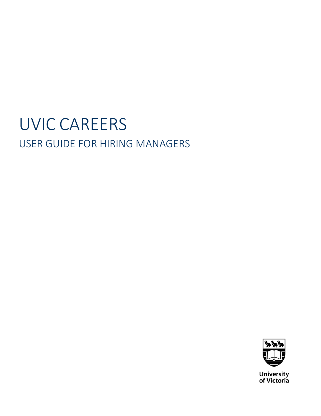# UVIC CAREERS USER GUIDE FOR HIRING MANAGERS

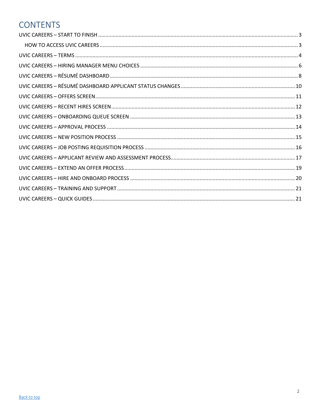# <span id="page-1-0"></span>**CONTENTS**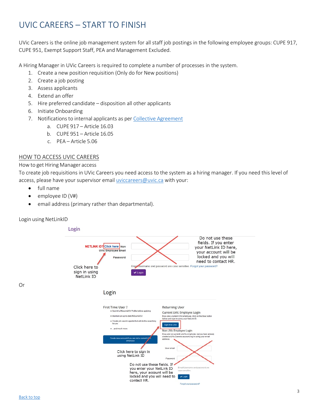# <span id="page-2-0"></span>UVIC CAREERS – START TO FINISH

UVic Careers is the online job management system for all staff job postings in the following employee groups: CUPE 917, CUPE 951, Exempt Support Staff, PEA and Management Excluded.

A Hiring Manager in UVic Careers is required to complete a number of processes in the system.

- 1. Create a new position requisition (Only do for New positions)
- 2. Create a job posting
- 3. Assess applicants
- 4. Extend an offer
- 5. Hire preferred candidate disposition all other applicants
- 6. Initiate Onboarding
- 7. Notifications to internal applicants as per Collective [Agreement](https://www.uvic.ca/hr/services/home/labour-relations/index.php)
	- a. CUPE 917 Article 16.03
	- b. CUPE 951 Article 16.05
	- c. PEA Article 5.06

#### <span id="page-2-1"></span>HOW TO ACCESS UVIC CAREERS

#### How to get Hiring Manager access

To create job requisitions in UVic Careers you need access to the system as a hiring manager. If you need this level of access, please have your supervisor email [uviccareers@uvic.ca](mailto:uviccareers@uvic.ca) with your:

- full name
- employee ID (V#)
- email address (primary rather than departmental).



Or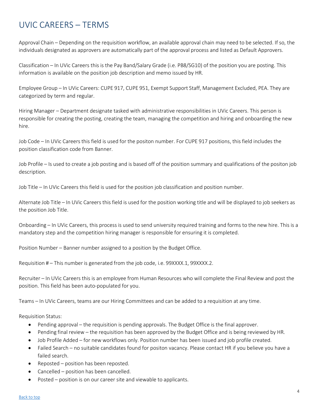# <span id="page-3-0"></span>UVIC CAREERS – TERMS

Approval Chain – Depending on the requisition workflow, an available approval chain may need to be selected. If so, the individuals designated as approvers are automatically part of the approval process and listed as Default Approvers.

Classification – In UVic Careers this is the Pay Band/Salary Grade (i.e. PB8/SG10) of the position you are posting. This information is available on the position job description and memo issued by HR.

Employee Group – In UVic Careers: CUPE 917, CUPE 951, Exempt Support Staff, Management Excluded, PEA. They are categorized by term and regular.

Hiring Manager – Department designate tasked with administrative responsibilities in UVic Careers. This person is responsible for creating the posting, creating the team, managing the competition and hiring and onboarding the new hire.

Job Code – In UVic Careers this field is used for the positon number. For CUPE 917 positions, this field includes the position classification code from Banner.

Job Profile – Is used to create a job posting and is based off of the position summary and qualifications of the positon job description.

Job Title – In UVic Careers this field is used for the position job classification and position number.

Alternate Job Title – In UVic Careers this field is used for the position working title and will be displayed to job seekers as the position Job Title.

Onboarding – In UVic Careers, this process is used to send university required training and forms to the new hire. This is a mandatory step and the competition hiring manager is responsible for ensuring it is completed.

Position Number – Banner number assigned to a position by the Budget Office.

Requisition # - This number is generated from the job code, i.e. 99XXXX.1, 99XXXX.2.

Recruiter – In UVic Careers this is an employee from Human Resources who will complete the Final Review and post the position. This field has been auto-populated for you.

Teams – In UVic Careers, teams are our Hiring Committees and can be added to a requisition at any time.

Requisition Status:

- Pending approval the requisition is pending approvals. The Budget Office is the final approver.
- Pending final review the requisition has been approved by the Budget Office and is being reviewed by HR.
- Job Profile Added for new workflows only. Position number has been issued and job profile created.
- Failed Search no suitable candidates found for positon vacancy. Please contact HR if you believe you have a failed search.
- Reposted position has been reposted.
- Cancelled position has been cancelled.
- Posted position is on our career site and viewable to applicants.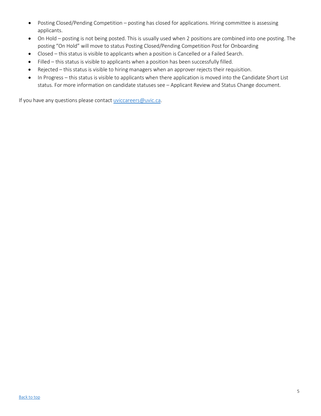- Posting Closed/Pending Competition posting has closed for applications. Hiring committee is assessing applicants.
- On Hold posting is not being posted. This is usually used when 2 positions are combined into one posting. The posting "On Hold" will move to status Posting Closed/Pending Competition Post for Onboarding
- Closed this status is visible to applicants when a position is Cancelled or a Failed Search.
- Filled this status is visible to applicants when a position has been successfully filled.
- Rejected this status is visible to hiring managers when an approver rejects their requisition.
- In Progress this status is visible to applicants when there application is moved into the Candidate Short List status. For more information on candidate statuses see – Applicant Review and Status Change document.

If you have any questions please contact [uviccareers@uvic.ca.](mailto:uviccareers@uvic.ca)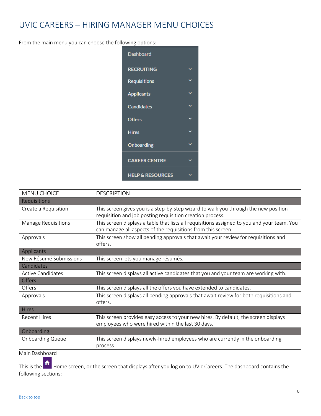# <span id="page-5-0"></span>UVIC CAREERS – HIRING MANAGER MENU CHOICES

From the main menu you can choose the following options:



| <b>MENU CHOICE</b>         | <b>DESCRIPTION</b>                                                                                                                                         |
|----------------------------|------------------------------------------------------------------------------------------------------------------------------------------------------------|
| Requisitions               |                                                                                                                                                            |
| Create a Requisition       | This screen gives you is a step-by-step wizard to walk you through the new position<br>requisition and job posting requisition creation process.           |
| <b>Manage Requisitions</b> | This screen displays a table that lists all requisitions assigned to you and your team. You<br>can manage all aspects of the requisitions from this screen |
| Approvals                  | This screen show all pending approvals that await your review for requisitions and<br>offers.                                                              |
| Applicants                 |                                                                                                                                                            |
| New Résumé Submissions     | This screen lets you manage résumés.                                                                                                                       |
| Candidates                 |                                                                                                                                                            |
| <b>Active Candidates</b>   | This screen displays all active candidates that you and your team are working with.                                                                        |
| <b>Offers</b>              |                                                                                                                                                            |
| Offers                     | This screen displays all the offers you have extended to candidates.                                                                                       |
| Approvals                  | This screen displays all pending approvals that await review for both requisitions and<br>offers.                                                          |
| <b>Hires</b>               |                                                                                                                                                            |
| <b>Recent Hires</b>        | This screen provides easy access to your new hires. By default, the screen displays<br>employees who were hired within the last 30 days.                   |
| Onboarding                 |                                                                                                                                                            |
| <b>Onboarding Queue</b>    | This screen displays newly-hired employees who are currently in the onboarding<br>process.                                                                 |

Main Dashboard

This is the **A** Home screen, or the screen that displays after you log on to UVic Careers. The dashboard contains the following sections: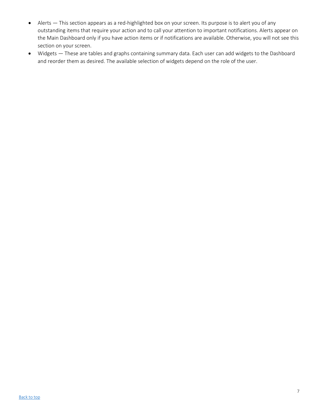- Alerts This section appears as a red-highlighted box on your screen. Its purpose is to alert you of any outstanding items that require your action and to call your attention to important notifications. Alerts appear on the Main Dashboard only if you have action items or if notifications are available. Otherwise, you will not see this section on your screen.
- Widgets These are tables and graphs containing summary data. Each user can add widgets to the Dashboard and reorder them as desired. The available selection of widgets depend on the role of the user.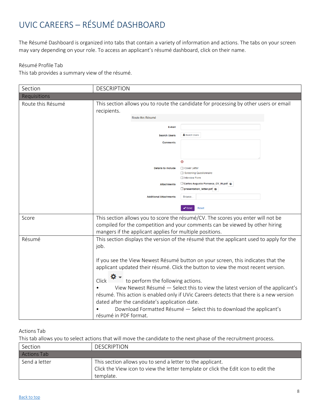# <span id="page-7-0"></span>UVIC CAREERS – RÉSUMÉ DASHBOARD

The Résumé Dashboard is organized into tabs that contain a variety of information and actions. The tabs on your screen may vary depending on your role. To access an applicant's résumé dashboard, click on their name.

#### Résumé Profile Tab

This tab provides a summary view of the résumé.

| Section           | <b>DESCRIPTION</b>                                                                                                                                   |
|-------------------|------------------------------------------------------------------------------------------------------------------------------------------------------|
| Requisitions      |                                                                                                                                                      |
| Route this Résumé | This section allows you to route the candidate for processing by other users or email<br>recipients.                                                 |
|                   | Route this Résumé                                                                                                                                    |
|                   | E-mail                                                                                                                                               |
|                   | Search Users<br><b>Search Users</b>                                                                                                                  |
|                   | <b>Comments</b>                                                                                                                                      |
|                   |                                                                                                                                                      |
|                   | ⊚                                                                                                                                                    |
|                   | <b>Details to include</b><br>□ Cover Letter                                                                                                          |
|                   | Screening Questionnaire<br>$\Box$ Interview Form                                                                                                     |
|                   | Carlos Augusto Fonseca_CV_IN.pdf @<br><b>Attachments</b>                                                                                             |
|                   | presentation letter.pdf                                                                                                                              |
|                   | <b>Additional Attachments</b><br><b>Browse</b>                                                                                                       |
|                   | $\blacktriangleright$ Send<br><b>Reset</b>                                                                                                           |
| Score             | This section allows you to score the résumé/CV. The scores you enter will not be                                                                     |
|                   | compiled for the competition and your comments can be viewed by other hiring                                                                         |
| Résumé            | mangers if the applicant applies for multiple positions.<br>This section displays the version of the résumé that the applicant used to apply for the |
|                   | job.                                                                                                                                                 |
|                   |                                                                                                                                                      |
|                   | If you see the View Newest Résumé button on your screen, this indicates that the                                                                     |
|                   | applicant updated their résumé. Click the button to view the most recent version.                                                                    |
|                   |                                                                                                                                                      |
|                   | $Click \n$<br>to perform the following actions.<br>View Newest Résumé - Select this to view the latest version of the applicant's                    |
|                   | résumé. This action is enabled only if UVic Careers detects that there is a new version                                                              |
|                   | dated after the candidate's application date.                                                                                                        |
|                   | Download Formatted Résumé - Select this to download the applicant's                                                                                  |
|                   | résumé in PDF format.                                                                                                                                |

### Actions Tab

This tab allows you to select actions that will move the candidate to the next phase of the recruitment process.

| Section       | <b>DESCRIPTION</b>                                                                                                                                            |
|---------------|---------------------------------------------------------------------------------------------------------------------------------------------------------------|
| Actions Tab   |                                                                                                                                                               |
| Send a letter | This section allows you to send a letter to the applicant.<br>Click the View icon to view the letter template or click the Edit icon to edit the<br>template. |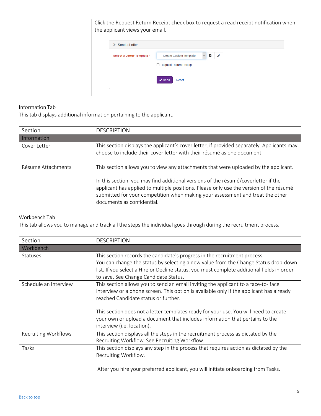| the applicant views your email. | Click the Request Return Receipt check box to request a read receipt notification when             |
|---------------------------------|----------------------------------------------------------------------------------------------------|
| Send a Letter                   |                                                                                                    |
| Select a Letter Template *      | -- Create Custom Template --<br>О<br>$\mathcal{L}$<br>$\vert \vee \vert$<br>Request Return Receipt |
|                                 | Reset<br>' Senc                                                                                    |

### Information Tab

This tab displays additional information pertaining to the applicant.

| Section            | <b>DESCRIPTION</b>                                                                                                                                                                                                                                                                                                                                                                   |
|--------------------|--------------------------------------------------------------------------------------------------------------------------------------------------------------------------------------------------------------------------------------------------------------------------------------------------------------------------------------------------------------------------------------|
| Information        |                                                                                                                                                                                                                                                                                                                                                                                      |
| Cover Letter       | This section displays the applicant's cover letter, if provided separately. Applicants may<br>choose to include their cover letter with their résumé as one document.                                                                                                                                                                                                                |
| Résumé Attachments | This section allows you to view any attachments that were uploaded by the applicant.<br>In this section, you may find additional versions of the résumé/coverletter if the<br>applicant has applied to multiple positions. Please only use the version of the résumé<br>submitted for your competition when making your assessment and treat the other<br>documents as confidential. |

### Workbench Tab

This tab allows you to manage and track all the steps the individual goes through during the recruitment process.

| Section                     | <b>DESCRIPTION</b>                                                                                                                                                                                                                                                                                                                                                                                                         |
|-----------------------------|----------------------------------------------------------------------------------------------------------------------------------------------------------------------------------------------------------------------------------------------------------------------------------------------------------------------------------------------------------------------------------------------------------------------------|
| Workbench                   |                                                                                                                                                                                                                                                                                                                                                                                                                            |
| <b>Statuses</b>             | This section records the candidate's progress in the recruitment process.<br>You can change the status by selecting a new value from the Change Status drop-down<br>list. If you select a Hire or Decline status, you must complete additional fields in order<br>to save. See Change Candidate Status.                                                                                                                    |
| Schedule an Interview       | This section allows you to send an email inviting the applicant to a face-to-face<br>interview or a phone screen. This option is available only if the applicant has already<br>reached Candidate status or further.<br>This section does not a letter templates ready for your use. You will need to create<br>your own or upload a document that includes information that pertains to the<br>interview (i.e. location). |
| <b>Recruiting Workflows</b> | This section displays all the steps in the recruitment process as dictated by the<br>Recruiting Workflow. See Recruiting Workflow.                                                                                                                                                                                                                                                                                         |
| Tasks                       | This section displays any step in the process that requires action as dictated by the<br>Recruiting Workflow.<br>After you hire your preferred applicant, you will initiate onboarding from Tasks.                                                                                                                                                                                                                         |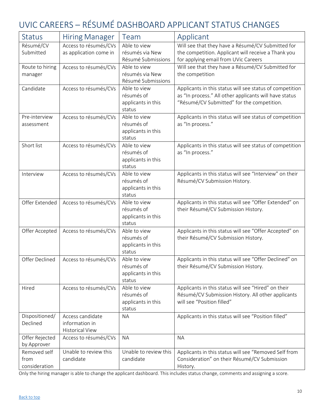# <span id="page-9-0"></span>UVIC CAREERS – RÉSUMÉ DASHBOARD APPLICANT STATUS CHANGES

| <b>Status</b>                         | <b>Hiring Manager</b>                                        | Team                                                       | Applicant                                                                                                                                                        |
|---------------------------------------|--------------------------------------------------------------|------------------------------------------------------------|------------------------------------------------------------------------------------------------------------------------------------------------------------------|
| Résumé/CV<br>Submitted                | Access to résumés/CVs<br>as application come in              | Able to view<br>résumés via New<br>Résumé Submissions      | Will see that they have a Résumé/CV Submitted for<br>the competition. Applicant will receive a Thank you<br>for applying email from UVic Careers                 |
| Route to hiring<br>manager            | Access to résumés/CVs                                        | Able to view<br>résumés via New<br>Résumé Submissions      | Will see that they have a Résumé/CV Submitted for<br>the competition                                                                                             |
| Candidate                             | Access to résumés/CVs                                        | Able to view<br>résumés of<br>applicants in this<br>status | Applicants in this status will see status of competition<br>as "In process." All other applicants will have status<br>"Résumé/CV Submitted" for the competition. |
| Pre-interview<br>assessment           | Access to résumés/CVs                                        | Able to view<br>résumés of<br>applicants in this<br>status | Applicants in this status will see status of competition<br>as "In process."                                                                                     |
| Short list                            | Access to résumés/CVs                                        | Able to view<br>résumés of<br>applicants in this<br>status | Applicants in this status will see status of competition<br>as "In process."                                                                                     |
| Interview                             | Access to résumés/CVs                                        | Able to view<br>résumés of<br>applicants in this<br>status | Applicants in this status will see "Interview" on their<br>Résumé/CV Submission History.                                                                         |
| Offer Extended                        | Access to résumés/CVs                                        | Able to view<br>résumés of<br>applicants in this<br>status | Applicants in this status will see "Offer Extended" on<br>their Résumé/CV Submission History.                                                                    |
| Offer Accepted                        | Access to résumés/CVs                                        | Able to view<br>résumés of<br>applicants in this<br>status | Applicants in this status will see "Offer Accepted" on<br>their Résumé/CV Submission History.                                                                    |
| Offer Declined                        | Access to résumés/CVs                                        | Able to view<br>résumés of<br>applicants in this<br>status | Applicants in this status will see "Offer Declined" on<br>their Résumé/CV Submission History.                                                                    |
| Hired                                 | Access to résumés/CVs                                        | Able to view<br>résumés of<br>applicants in this<br>status | Applicants in this status will see "Hired" on their<br>Résumé/CV Submission History. All other applicants<br>will see "Position filled"                          |
| Dispositioned/<br>Declined            | Access candidate<br>information in<br><b>Historical View</b> | <b>NA</b>                                                  | Applicants in this status will see "Position filled"                                                                                                             |
| Offer Rejected<br>by Approver         | Access to résumés/CVs                                        | <b>NA</b>                                                  | <b>NA</b>                                                                                                                                                        |
| Removed self<br>from<br>consideration | Unable to review this<br>candidate                           | Unable to review this<br>candidate                         | Applicants in this status will see "Removed Self from<br>Consideration" on their Résumé/CV Submission<br>History.                                                |

Only the hiring manager is able to change the applicant dashboard. This includes status change, comments and assigning a score.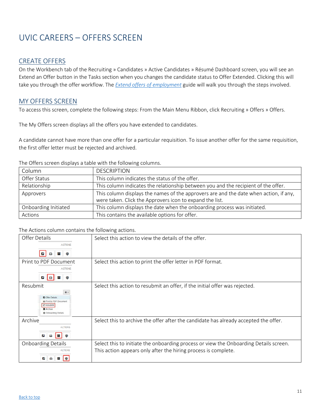# <span id="page-10-0"></span>UVIC CAREERS – OFFERS SCREEN

### CREATE OFFERS

On the Workbench tab of the Recruiting » Candidates » Active Candidates » Résumé Dashboard screen, you will see an Extend an Offer button in the Tasks section when you changes the candidate status to Offer Extended. Clicking this will take you through the offer workflow. The *Extend [offers of employment](https://www.uvic.ca/hr/assets/docs/ats-uviccareers/uviccareers-extending%20offers%20of%20employment.pdf)* guide will walk you through the steps involved.

### MY OFFERS SCREEN

To access this screen, complete the following steps: From the Main Menu Ribbon, click Recruiting » Offers » Offers.

The My Offers screen displays all the offers you have extended to candidates.

A candidate cannot have more than one offer for a particular requisition. To issue another offer for the same requisition, the first offer letter must be rejected and archived.

| Column               | <b>DESCRIPTION</b>                                                                                                                                |  |
|----------------------|---------------------------------------------------------------------------------------------------------------------------------------------------|--|
| Offer Status         | This column indicates the status of the offer.                                                                                                    |  |
| Relationship         | This column indicates the relationship between you and the recipient of the offer.                                                                |  |
| Approvers            | This column displays the names of the approvers are and the date when action, if any,<br>were taken. Click the Approvers icon to expand the list. |  |
| Onboarding Initiated | This column displays the date when the onboarding process was initiated.                                                                          |  |
| Actions              | This contains the available options for offer.                                                                                                    |  |

The Offers screen displays a table with the following columns.

### The Actions column contains the following actions.

| Offer Details<br><b>ACTIONS</b><br>↗<br>⋒                                                                                   | Select this action to view the details of the offer.                                                                                                    |
|-----------------------------------------------------------------------------------------------------------------------------|---------------------------------------------------------------------------------------------------------------------------------------------------------|
| Print to PDF Document<br><b>ACTIONS</b><br>О                                                                                | Select this action to print the offer letter in PDF format.                                                                                             |
| Resubmit<br>۰,<br><b>D</b> Offer Details<br>Print to PDF Document<br>C Resubmit<br><b>M</b> Archive<br>@ Onboarding Details | Select this action to resubmit an offer, if the initial offer was rejected.                                                                             |
| Archive<br><b>ACTIONS</b><br>О                                                                                              | Select this to archive the offer after the candidate has already accepted the offer.                                                                    |
| <b>Onboarding Details</b><br><b>ACTIONS</b><br>O<br>$\circledcirc$                                                          | Select this to initiate the onboarding process or view the Onboarding Details screen.<br>This action appears only after the hiring process is complete. |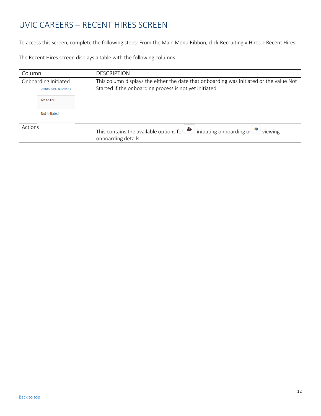# <span id="page-11-0"></span>UVIC CAREERS – RECENT HIRES SCREEN

To access this screen, complete the following steps: From the Main Menu Ribbon, click Recruiting » Hires » Recent Hires.

The Recent Hires screen displays a table with the following columns.

| Column                                         | <b>DESCRIPTION</b>                                                                                                                                   |
|------------------------------------------------|------------------------------------------------------------------------------------------------------------------------------------------------------|
| Onboarding Initiated<br>ONBOARDING INITIATED ≑ | This column displays the either the date that onboarding was initiated or the value Not<br>Started if the onboarding process is not yet initiated.   |
| 6/11/2017                                      |                                                                                                                                                      |
| Not Initiated                                  |                                                                                                                                                      |
| Actions                                        | This contains the available options for $\left  \bullet \right $ initiating onboarding or $\left  \bullet \right $<br>viewing<br>onboarding details. |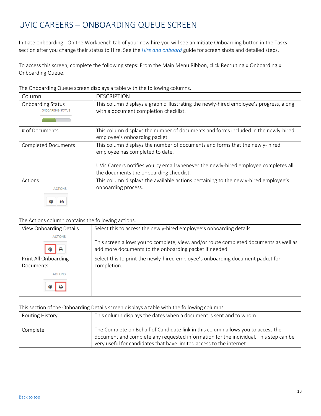# <span id="page-12-0"></span>UVIC CAREERS – ONBOARDING QUEUE SCREEN

Initiate onboarding - On the Workbench tab of your new hire you will see an Initiate Onboarding button in the Tasks section after you change their status to Hire. See the *Hire and [onboard](https://www.uvic.ca/hr/assets/docs/ats-uviccareers/uviccareers-onboarding.pdf)* guide for screen shots and detailed steps.

To access this screen, complete the following steps: From the Main Menu Ribbon, click Recruiting » Onboarding » Onboarding Queue.

| Column                                               | <b>DESCRIPTION</b>                                                                                                              |
|------------------------------------------------------|---------------------------------------------------------------------------------------------------------------------------------|
| <b>Onboarding Status</b><br><b>ONBOARDING STATUS</b> | This column displays a graphic illustrating the newly-hired employee's progress, along<br>with a document completion checklist. |
| # of Documents                                       | This column displays the number of documents and forms included in the newly-hired<br>employee's onboarding packet.             |
| <b>Completed Documents</b>                           | This column displays the number of documents and forms that the newly- hired<br>employee has completed to date.                 |
|                                                      | UVic Careers notifies you by email whenever the newly-hired employee completes all<br>the documents the onboarding checklist.   |
| Actions<br><b>ACTIONS</b>                            | This column displays the available actions pertaining to the newly-hired employee's<br>onboarding process.                      |

The Onboarding Queue screen displays a table with the following columns.

#### The Actions column contains the following actions.

| View Onboarding Details           | Select this to access the newly-hired employee's onboarding details.                                                                            |
|-----------------------------------|-------------------------------------------------------------------------------------------------------------------------------------------------|
| <b>ACTIONS</b><br>a               | This screen allows you to complete, view, and/or route completed documents as well as<br>add more documents to the onboarding packet if needed. |
| Print All Onboarding<br>Documents | Select this to print the newly-hired employee's onboarding document packet for<br>completion.                                                   |
| <b>ACTIONS</b>                    |                                                                                                                                                 |
|                                   |                                                                                                                                                 |

This section of the Onboarding Details screen displays a table with the following columns.

| <b>Routing History</b> | This column displays the dates when a document is sent and to whom.                                                                                                                                                                              |
|------------------------|--------------------------------------------------------------------------------------------------------------------------------------------------------------------------------------------------------------------------------------------------|
| Complete               | The Complete on Behalf of Candidate link in this column allows you to access the<br>document and complete any requested information for the individual. This step can be<br>very useful for candidates that have limited access to the internet. |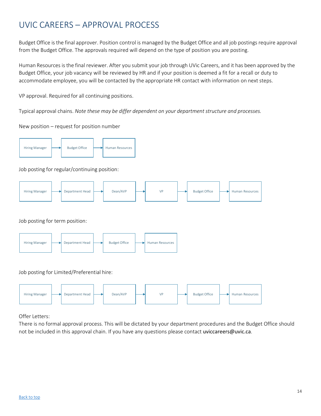# <span id="page-13-0"></span>UVIC CAREERS – APPROVAL PROCESS

Budget Office isthe final approver. Position control is managed by the Budget Office and all job postings require approval from the Budget Office. The approvals required will depend on the type of position you are posting.

Human Resources is the final reviewer. After you submit your job through UVic Careers, and it has been approved by the Budget Office, your job vacancy will be reviewed by HR and if your position is deemed a fit for a recall or duty to accommodate employee, you will be contacted by the appropriate HR contact with information on next steps.

VP approval. Required for all continuing positions.

Typical approval chains. *Note these may be differ dependent on your department structure and processes.*

New position – request for position number



### Job posting for regular/continuing position:



Job posting for term position:



#### Job posting for Limited/Preferential hire:



Offer Letters:

There is no formal approval process. This will be dictated by your department procedures and the Budget Office should not be included in this approval chain. If you have any questions please contact [uviccareers@uvic.ca](mailto:uviccareers@uvic.ca).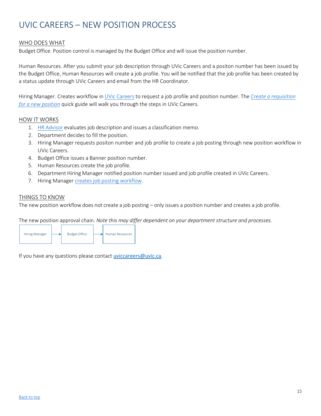# <span id="page-14-0"></span>UVIC CAREERS – NEW POSITION PROCESS

### WHO DOES WHAT

Budget Office. Position control is managed by the Budget Office and will issue the position number.

Human Resources. After you submit your job description through UVic Careers and a positon number has been issued by the Budget Office, Human Resources will create a job profile. You will be notified that the job profile has been created by a status update through UVic Careers and email from the HR Coordinator.

Hiring Manager. Creates workflow in UVic [Careers](https://uvic.mua.hrdepartment.com/) to request a job profile and position number. The *Create a [requisition](https://www.uvic.ca/hr/assets/docs/ats-uviccareers/uviccareers-new-position.pdf) for a new [position](https://www.uvic.ca/hr/assets/docs/ats-uviccareers/uviccareers-new-position.pdf)* quick guide will walk you through the steps in UVic Careers.

#### HOW IT WORKS

- 1. HR [Advisor](https://www.uvic.ca/hr/contact/index.php) evaluates job description and issues a classification memo.
- 2. Department decides to fill the position.
- 3. Hiring Manager requests positon number and job profile to create a job posting through new position workflow in UVic Careers.
- 4. Budget Office issues a Banner position number.
- 5. Human Resources create the job profile.
- 6. Department Hiring Manager notified position number issued and job profile created in UVic Careers.
- 7. Hiring Manager creates job posting [workflow.](https://www.uvic.ca/hr/assets/docs/ats-uviccareers/uviccareers-create-a-req.pdf)

### THINGS TO KNOW

The new position workflow does not create a job posting – only issues a position number and creates a job profile.

The new position approval chain. *Note this may differ dependent on your department structure and processes.*



If you have any questions please contact [uviccareers@uvic.ca](mailto:uviccareers@uvic.ca).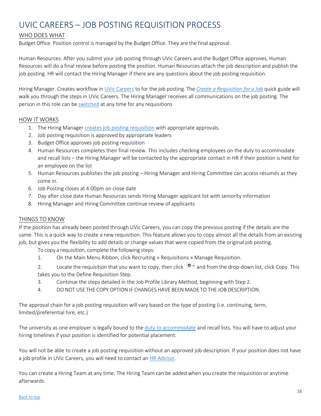# <span id="page-15-0"></span>UVIC CAREERS – JOB POSTING REQUISITION PROCESS

### WHO DOES WHAT

Budget Office. Position control is managed by the Budget Office. They are the final approval.

Human Resources. After you submit your job posting through UVic Careers and the Budget Office approves, Human Resources will do a final review before posting the position. Human Resources attach the job description and publish the job posting. HR will contact the Hiring Manager if there are any questions about the job posting requisition.

Hiring Manager. Creates workflow in UVic [Careers](https://uvic.mua.hrdepartment.com/) to for the job posting. The *Create a [Requisition](https://www.uvic.ca/hr/assets/docs/ats-uviccareers/uviccareers-create-a-req.pdf) for a Job* quick guide will walk you through the steps in UVic Careers. The Hiring Manager receives all communications on the job posting. The person in this role can be [switched](https://www.uvic.ca/hr/assets/docs/ats-uviccareers/uviccareers-change-hiring-admin.pdf) at any time for any requisitions

### HOW IT WORKS

- 1. The Hiring Manager creates job posting [requisition](https://www.uvic.ca/hr/assets/docs/ats-uviccareers/uviccareers-create-a-req.pdf) with appropriate approvals.
- 2. Job posting requisition is approved by appropriate leaders
- 3. Budget Office approves job posting requisition
- 4. Human Resources completes their final review. This includes checking employees on the duty to accommodate and recall lists – the Hiring Manager will be contacted by the appropriate contact in HR if their position is held for an employee on the list
- 5. Human Resources publishes the job posting Hiring Manager and Hiring Committee can access résumés as they come in.
- 6. Job Posting closes at 4:00pm on close date
- 7. Day after close date Human Resources sends Hiring Manager applicant list with seniority information
- 8. Hiring Manager and Hiring Committee continue review of applicants

### THINGS TO KNOW

If the position has already been posted through UVic Careers, you can copy the previous posting if the details are the same. This is a quick way to create a new requisition. This feature allows you to copy almost all the details from an existing job, but gives you the flexibility to add details or change values that were copied from the original job posting.

To copy a requisition, complete the following steps:

1. On the Main Menu Ribbon, click Recruiting » Requisitions » Manage Requisition.

2. Locate the requisition that you want to copy, then click  $\Phi$  and from the drop-down list, click Copy. This takes you to the Define Requisition Step.

- 3. Continue the steps detailed in the Job Profile Library Method, beginning with Step 2.
- 4. DO NOT USE THE COPY OPTION IF CHANGES HAVE BEEN MADE TO THE JOB DESCRIPTION.

The approval chain for a job posting requisition will vary based on the type of posting (i.e. continuing, term, limited/preferential hire, etc.)

The university as one employer is legally bound to the [duty to accommodate](https://www.uvic.ca/hr/assets/docs/recruitment/hrissuesandaccom.pdf) and recall lists. You will have to adjust your hiring timelines if your position is identified for potential placement.

You will not be able to create a job posting requisition without an approved job description. If your position does not have a job profile in UVic Careers, you will need to contact an HR [Advisor.](https://www.uvic.ca/hr/contact/index.php)

You can create a Hiring Team at any time. The Hiring Team can be added when you create the requisition or anytime afterwards.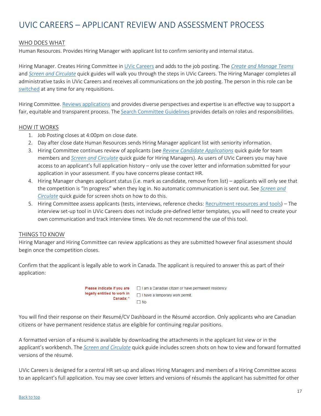# <span id="page-16-0"></span>UVIC CAREERS – APPLICANT REVIEW AND ASSESSMENT PROCESS

#### WHO DOES WHAT

Human Resources. Provides Hiring Manager with applicant list to confirm seniority and internal status.

Hiring Manager. Creates Hiring Committee in [UVic Careers](https://uvic.mua.hrdepartment.com/) and adds to the job posting. The *[Create and Manage Teams](https://www.uvic.ca/hr/assets/docs/ats-uviccareers/uviccareers-create-a-team.pdf)* and *[Screen and Circulate](https://www.uvic.ca/hr/assets/docs/ats-uviccareers/uviccareers-screening-circulating-apps-.pdf)* quick guides will walk you through the steps in UVic Careers. The Hiring Manager completes all administrative tasks in UVic Careers and receives all communications on the job posting. The person in this role can be [switched](https://www.uvic.ca/hr/assets/docs/ats-uviccareers/uviccareers-change-hiring-admin.pdf) at any time for any requisitions.

Hiring Committee. Reviews [applications](https://www.uvic.ca/hr/assets/docs/ats-uviccareers/uviccareers-team-members.pdf) and provides diverse perspectives and expertise is an effective way to support a fair, equitable and transparent process. The Search [Committee](http://www.uvic.ca/hr/assets/docs/recruitment/search%20committee%20guidelines.pdf) Guidelines provides details on roles and responsibilities.

#### HOW IT WORKS

- 1. Job Posting closes at 4:00pm on close date.
- 2. Day after close date Human Resources sends Hiring Manager applicant list with seniority information.
- 3. Hiring Committee continues review of applicants (see *[Review Candidate Applications](https://www.uvic.ca/hr/assets/docs/ats-uviccareers/uviccareers-team-members.pdf)* quick guide for team members and *[Screen and Circulate](https://www.uvic.ca/hr/assets/docs/ats-uviccareers/uviccareers-screening-circulating-apps-.pdf)* quick guide for Hiring Managers). As users of UVic Careers you may have access to an applicant's full application history – only use the cover letter and information submitted for your application in your assessment. If you have concerns please contact HR.
- 4. Hiring Manager changes applicant status (i.e. mark as candidate, remove from list) applicants will only see that the competition is "In progress" when they log in. No automatic communication is sent out. See *[Screen and](https://www.uvic.ca/hr/assets/docs/ats-uviccareers/uviccareers-screening-circulating-apps-.pdf) [Circulate](https://www.uvic.ca/hr/assets/docs/ats-uviccareers/uviccareers-screening-circulating-apps-.pdf)* quick guide for screen shots on how to do this.
- 5. Hiring Committee assess applicants (tests, interviews, reference checks: [Recruitment resources and tools\)](https://www.uvic.ca/hr/services/home/hiring/recruitment/index.php) The interview set-up tool in UVic Careers does not include pre-defined letter templates, you will need to create your own communication and track interview times. We do not recommend the use of this tool.

#### THINGS TO KNOW

Hiring Manager and Hiring Committee can review applications as they are submitted however final assessment should begin once the competition closes.

Confirm that the applicant is legally able to work in Canada. The applicant is required to answer this as part of their application:

> Please indicate if you are I am a Canadian citizen or have permanent residency. legally entitled to work in I have a temporary work permit. Canada: \*  $\Box$  No

You will find their response on their Resumé/CV Dashboard in the Résumé accordion. Only applicants who are Canadian citizens or have permanent residence status are eligible for continuing regular positions.

A formatted version of a résumé is available by downloading the attachments in the applicant list view or in the applicant's workbench. The *[Screen and Circulate](https://www.uvic.ca/hr/assets/docs/ats-uviccareers/uviccareers-screening-circulating-apps-.pdf)* quick guide includes screen shots on how to view and forward formatted versions of the résumé.

UVic Careers is designed for a central HR set-up and allows Hiring Managers and members of a Hiring Committee access to an applicant's full application. You may see cover letters and versions of résumés the applicant has submitted for other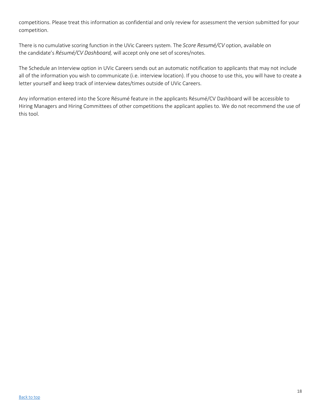competitions. Please treat this information as confidential and only review for assessment the version submitted for your competition.

There is no cumulative scoring function in the UVic Careers system. The *Score Resumé/CV* option, available on the candidate's *Résumé/CV Dashboard,* will accept only one set of scores/notes.

The Schedule an Interview option in UVic Careers sends out an automatic notification to applicants that may not include all of the information you wish to communicate (i.e. interview location). If you choose to use this, you will have to create a letter yourself and keep track of interview dates/times outside of UVic Careers.

Any information entered into the Score Résumé feature in the applicants Résumé/CV Dashboard will be accessible to Hiring Managers and Hiring Committees of other competitions the applicant applies to. We do not recommend the use of this tool.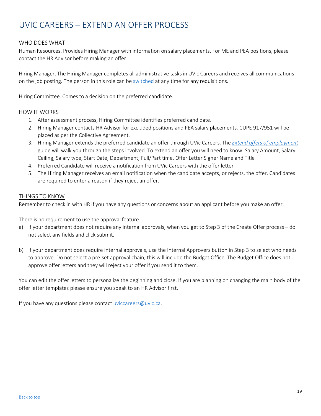# <span id="page-18-0"></span>UVIC CAREERS – EXTEND AN OFFER PROCESS

### WHO DOES WHAT

Human Resources. Provides Hiring Manager with information on salary placements. For ME and PEA positions, please contact the HR Advisor before making an offer.

Hiring Manager. The Hiring Manager completes all administrative tasks in UVic Careers and receives all communications on the job posting. The person in this role can be [switched](https://www.uvic.ca/hr/assets/docs/ats-uviccareers/uviccareers-change-hiring-admin.pdf) at any time for any requisitions.

Hiring Committee. Comes to a decision on the preferred candidate.

#### HOW IT WORKS

- 1. After assessment process, Hiring Committee identifies preferred candidate.
- 2. Hiring Manager contacts HR Advisor for excluded positions and PEA salary placements. CUPE 917/951 will be placed as per the Collective Agreement.
- 3. Hiring Manager extends the preferred candidate an offer through UVic Careers. The *Extend offers of [employment](https://www.uvic.ca/hr/assets/docs/ats-uviccareers/uviccareers-extending%20offers%20of%20employment.pdf)* guide will walk you through the steps involved. To extend an offer you will need to know: Salary Amount, Salary Ceiling, Salary type, Start Date, Department, Full/Part time, Offer Letter Signer Name and Title
- 4. Preferred Candidate will receive a notification from UVic Careers with the offer letter
- 5. The Hiring Manager receives an email notification when the candidate accepts, or rejects, the offer. Candidates are required to enter a reason if they reject an offer.

### THINGS TO KNOW

Remember to check in with HR if you have any questions or concerns about an applicant before you make an offer.

There is no requirement to use the approval feature.

- a) If your department does not require any internal approvals, when you get to Step 3 of the Create Offer process do not select any fields and click submit.
- b) If your department does require internal approvals, use the Internal Approvers button in Step 3 to select who needs to approve. Do not select a pre-set approval chain; this will include the Budget Office. The Budget Office does not approve offer letters and they will reject your offer if you send it to them.

You can edit the offer letters to personalize the beginning and close. If you are planning on changing the main body of the offer letter templates please ensure you speak to an HR Advisor first.

If you have any questions please contact [uviccareers@uvic.ca.](mailto:uviccareers@uvic.ca)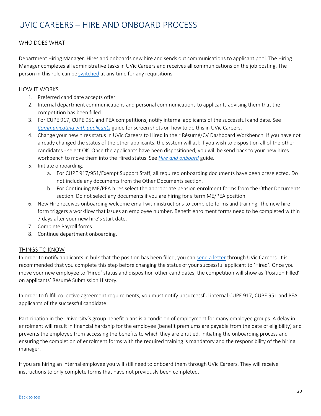# <span id="page-19-0"></span>UVIC CAREERS – HIRE AND ONBOARD PROCESS

### WHO DOES WHAT

Department Hiring Manager. Hires and onboards new hire and sends out communications to applicant pool. The Hiring Manager completes all administrative tasks in UVic Careers and receives all communications on the job posting. The person in this role can be [switched](https://www.uvic.ca/hr/assets/docs/ats-uviccareers/uviccareers-change-hiring-admin.pdf) at any time for any requisitions.

### **HOW IT WORKS**

- 1. Preferred candidate accepts offer.
- 2. Internal department communications and personal communications to applicants advising them that the competition has been filled.
- 3. For CUPE 917, CUPE 951 and PEA competitions, notify internal applicants of the successful candidate. See *[Communicating](https://www.uvic.ca/hr/assets/docs/ats-uviccareers/uviccareers-communicating-%20applicants.pdf) with applicants* guide for screen shots on how to do this in UVic Careers.
- 4. Change your new hires status in UVic Careers to Hired in their Résumé/CV Dashboard Workbench. If you have not already changed the status of the other applicants, the system will ask if you wish to disposition all of the other candidates - select OK. Once the applicants have been dispositioned, you will be send back to your new hires workbench to move them into the Hired status. See *[Hire and](https://www.uvic.ca/hr/assets/docs/ats-uviccareers/uviccareers-onboarding.pdf) onboard* guide.
- 5. Initiate onboarding.
	- a. For CUPE 917/951/Exempt Support Staff, all required onboarding documents have been preselected. Do not include any documents from the Other Documents section.
	- b. For Continuing ME/PEA hires select the appropriate pension enrolment forms from the Other Documents section. Do not select any documents if you are hiring for a term ME/PEA position.
- 6. New Hire receives onboarding welcome email with instructions to complete forms and training. The new hire form triggers a workflow that issues an employee number. Benefit enrolment forms need to be completed within 7 days after your new hire's start date.
- 7. Complete Payroll forms.
- 8. Continue department onboarding.

### THINGS TO KNOW

In order to notify applicants in bulk that the position has been filled, you can [send a letter](https://www.uvic.ca/hr/assets/docs/ats-uviccareers/uviccareers-communicating-%20applicants.pdf) through UVic Careers. It is recommended that you complete this step before changing the status of your successful applicant to 'Hired'. Once you move your new employee to 'Hired' status and disposition other candidates, the competition will show as 'Position Filled' on applicants' Résumé Submission History.

In order to fulfill collective agreement requirements, you must notify unsuccessful internal CUPE 917, CUPE 951 and PEA applicants of the successful candidate.

Participation in the University's group benefit plans is a condition of employment for many employee groups. A delay in enrolment will result in financial hardship for the employee (benefit premiums are payable from the date of eligibility) and prevents the employee from accessing the benefits to which they are entitled. Initiating the onboarding process and ensuring the completion of enrolment forms with the required training is mandatory and the responsibility of the hiring manager.

If you are hiring an internal employee you will still need to onboard them through UVic Careers. They will receive instructions to only complete forms that have not previously been completed.